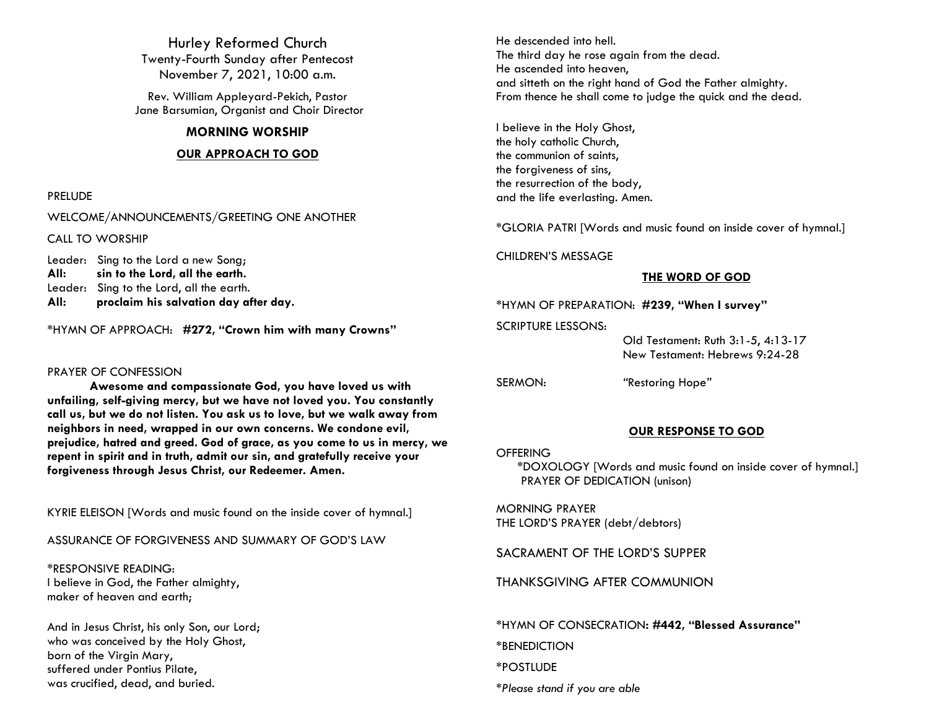Hurley Reformed Church Twenty-Fourth Sunday after Pentecost November 7, 2021, 10:00 a.m.

Rev. William Appleyard-Pekich, Pastor Jane Barsumian, Organist and Choir Director

## **MORNING WORSHIP**

## **OUR APPROACH TO GOD**

#### PRELUDE

WELCOME/ANNOUNCEMENTS/GREETING ONE ANOTHER

CALL TO WORSHIP

Leader: Sing to the Lord a new Song; **All: sin to the Lord, all the earth.** Leader: Sing to the Lord, all the earth. **All: proclaim his salvation day after day.**

\*HYMN OF APPROACH: **#272, "Crown him with many Crowns"**

#### PRAYER OF CONFESSION

**Awesome and compassionate God, you have loved us with unfailing, self-giving mercy, but we have not loved you. You constantly call us, but we do not listen. You ask us to love, but we walk away from neighbors in need, wrapped in our own concerns. We condone evil, prejudice, hatred and greed. God of grace, as you come to us in mercy, we repent in spirit and in truth, admit our sin, and gratefully receive your forgiveness through Jesus Christ, our Redeemer. Amen.** 

KYRIE ELEISON [Words and music found on the inside cover of hymnal.]

## ASSURANCE OF FORGIVENESS AND SUMMARY OF GOD'S LAW

\*RESPONSIVE READING: I believe in God, the Father almighty, maker of heaven and earth;

And in Jesus Christ, his only Son, our Lord; who was conceived by the Holy Ghost, born of the Virgin Mary, suffered under Pontius Pilate, was crucified, dead, and buried.

He descended into hell. The third day he rose again from the dead. He ascended into heaven, and sitteth on the right hand of God the Father almighty. From thence he shall come to judge the quick and the dead.

I believe in the Holy Ghost, the holy catholic Church, the communion of saints, the forgiveness of sins, the resurrection of the body, and the life everlasting. Amen.

\*GLORIA PATRI [Words and music found on inside cover of hymnal.]

CHILDREN'S MESSAGE

## **THE WORD OF GOD**

## \*HYMN OF PREPARATION: **#239, "When I survey"**

SCRIPTURE LESSONS:

 Old Testament: Ruth 3:1-5, 4:13-17 New Testament: Hebrews 9:24-28

SERMON: *"*Restoring Hope*"*

# **OUR RESPONSE TO GOD**

**OFFERING** 

\*DOXOLOGY [Words and music found on inside cover of hymnal.] PRAYER OF DEDICATION (unison)

MORNING PRAYER THE LORD'S PRAYER (debt/debtors)

SACRAMENT OF THE LORD'S SUPPER

THANKSGIVING AFTER COMMUNION

\*HYMN OF CONSECRATION**: #442, "Blessed Assurance"** \*BENEDICTION \*POSTLUDE *\*Please stand if you are able*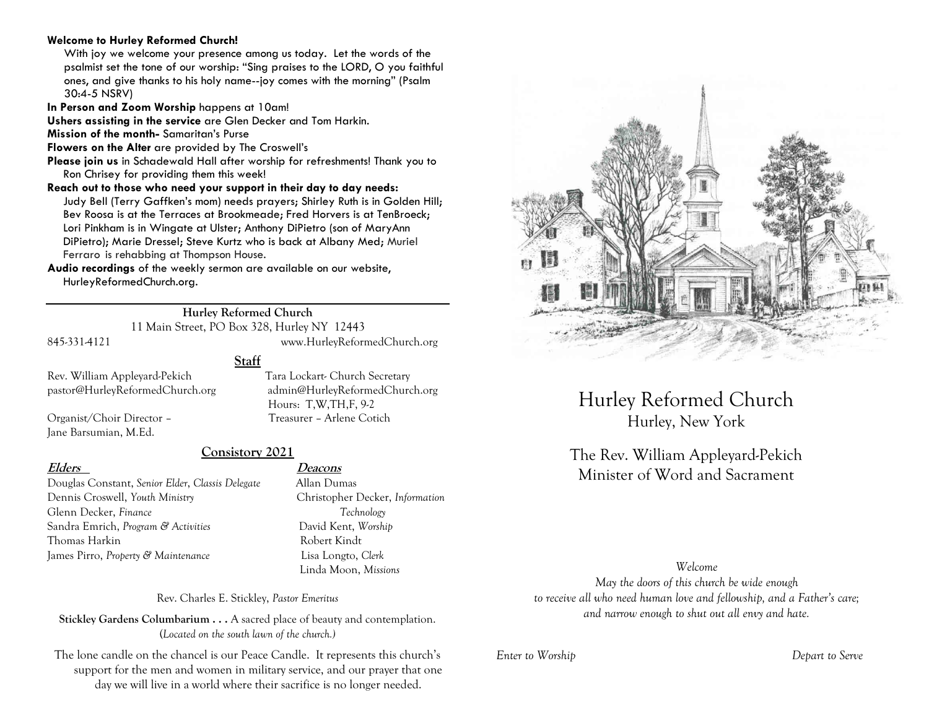#### **Welcome to Hurley Reformed Church!**

With joy we welcome your presence among us today. Let the words of the psalmist set the tone of our worship: "Sing praises to the LORD, O you faithful ones, and give thanks to his holy name--joy comes with the morning" (Psalm 30:4-5 NSRV)

**In Person and Zoom Worship** happens at 10am!

**Ushers assisting in the service** are Glen Decker and Tom Harkin.

**Mission of the month-** Samaritan's Purse

**Flowers on the Alter** are provided by The Croswell's

**Please join us** in Schadewald Hall after worship for refreshments! Thank you to Ron Chrisey for providing them this week!

**Reach out to those who need your support in their day to day needs:**  Judy Bell (Terry Gaffken's mom) needs prayers; Shirley Ruth is in Golden Hill; Bev Roosa is at the Terraces at Brookmeade; Fred Horvers is at TenBroeck; Lori Pinkham is in Wingate at Ulster; Anthony DiPietro (son of MaryAnn DiPietro); Marie Dressel; Steve Kurtz who is back at Albany Med; Muriel Ferraro is rehabbing at Thompson House.

**Audio recordings** of the weekly sermon are available on our website, HurleyReformedChurch.org.

## **Hurley Reformed Church**

**Staff**

11 Main Street, PO Box 328, Hurley NY 12443 845-331-4121 www.HurleyReformedChurch.org

Rev. William Appleyard-Pekich Tara Lockart- Church Secretary pastor@HurleyReformedChurch.org admin@HurleyReformedChurch.org

Organist/Choir Director – Treasurer – Arlene Cotich Jane Barsumian, M.Ed.

# **Consistory 2021**

Douglas Constant, *Senior Elder*, *Classis Delegate* Allan Dumas Dennis Croswell, *Youth Ministry* Christopher Decker, *Information* Glenn Decker, *Finance Technology* Sandra Emrich, *Program & Activities* David Kent, *Worship* Thomas Harkin Robert Kindt James Pirro, *Property & Maintenance* Lisa Longto, *Clerk*

## **Elders Deacons**

Hours: T,W,TH,F, 9-2

Linda Moon, *Missions*

Rev. Charles E. Stickley, *Pastor Emeritus*

**Stickley Gardens Columbarium . . .** A sacred place of beauty and contemplation. (*Located on the south lawn of the church.)* 

The lone candle on the chancel is our Peace Candle. It represents this church's support for the men and women in military service, and our prayer that one day we will live in a world where their sacrifice is no longer needed.



Hurley Reformed Church Hurley, New York

# The Rev. William Appleyard-Pekich Minister of Word and Sacrament

*Welcome*

*May the doors of this church be wide enough to receive all who need human love and fellowship, and a Father's care; and narrow enough to shut out all envy and hate.*

*Enter to Worship Depart to Serve*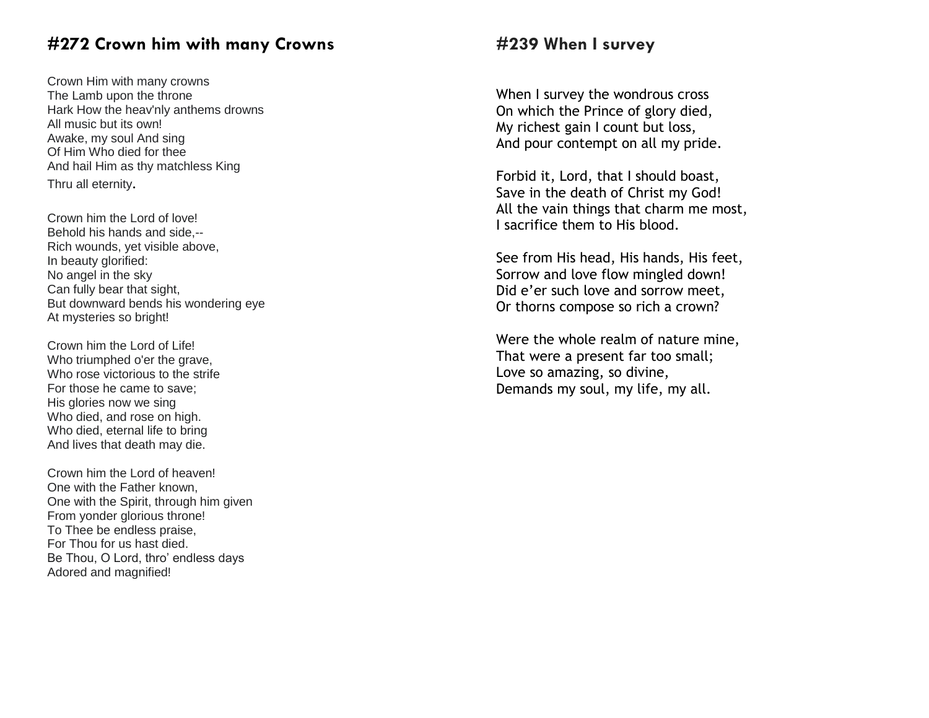# **#272 Crown him with many Crowns**

Crown Him with many crowns The Lamb upon the throne Hark How the heav'nly anthems drowns All music but its own! Awake, my soul And sing Of Him Who died for thee And hail Him as thy matchless King Thru all eternity .

Crown him the Lord of love! Behold his hands and side,-- Rich wounds, yet visible above, In beauty glorified: No angel in the sky Can fully bear that sight, But downward bends his wondering eye At mysteries so bright!

Crown him the Lord of Life! Who triumphed o'er the grave, Who rose victorious to the strife For those he came to save; His glories now we sing Who died, and rose on high. Who died, eternal life to bring And lives that death may die.

Crown him the Lord of heaven! One with the Father known, One with the Spirit, through him given From yonder glorious throne! To Thee be endless praise, For Thou for us hast died. Be Thou, O Lord, thro' endless days Adored and magnified!

# **#239 When I survey**

When I survey the wondrous cross On which the Prince of glory died, My richest gain I count but loss, And pour contempt on all my pride.

Forbid it, Lord, that I should boast, Save in the death of Christ my God! All the vain things that charm me most, I sacrifice them to His blood.

See from His head, His hands, His feet, Sorrow and love flow mingled down! Did e'er such love and sorrow meet, Or thorns compose so rich a crown?

Were the whole realm of nature mine, That were a present far too small; Love so amazing, so divine, Demands my soul, my life, my all.